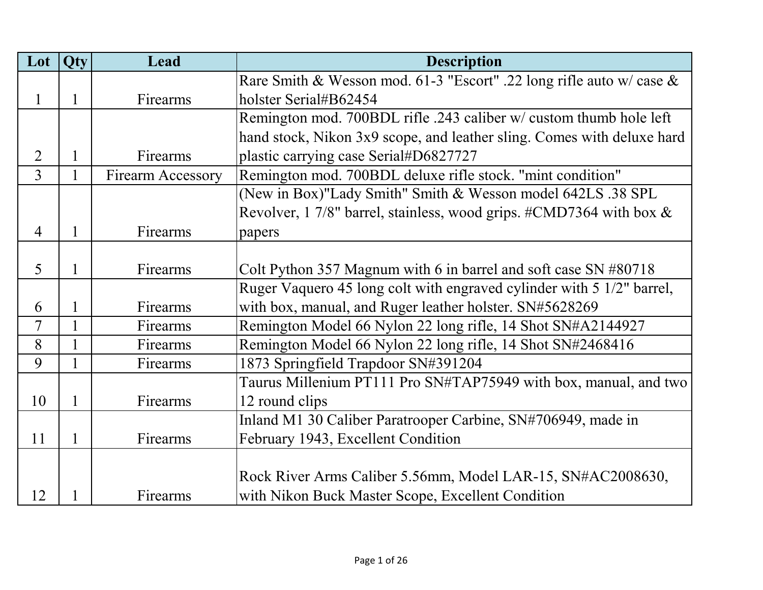| Lot            | Qty          | Lead                     | <b>Description</b>                                                            |
|----------------|--------------|--------------------------|-------------------------------------------------------------------------------|
|                |              |                          | Rare Smith & Wesson mod. 61-3 "Escort" .22 long rifle auto w/ case $\&$       |
| 1              | $\mathbf{1}$ | Firearms                 | holster Serial#B62454                                                         |
|                |              |                          | Remington mod. 700BDL rifle .243 caliber w/ custom thumb hole left            |
|                |              |                          | hand stock, Nikon 3x9 scope, and leather sling. Comes with deluxe hard        |
| $\overline{2}$ | $\mathbf{1}$ | Firearms                 | plastic carrying case Serial#D6827727                                         |
| 3              | $\mathbf{1}$ | <b>Firearm Accessory</b> | Remington mod. 700BDL deluxe rifle stock. "mint condition"                    |
|                |              |                          | (New in Box)"Lady Smith" Smith & Wesson model 642LS .38 SPL                   |
|                |              |                          | Revolver, 1 7/8" barrel, stainless, wood grips. $\#\text{CMD7364}$ with box & |
| $\overline{4}$ | $\mathbf{1}$ | Firearms                 | papers                                                                        |
|                |              |                          |                                                                               |
| 5              | 1            | Firearms                 | Colt Python 357 Magnum with 6 in barrel and soft case $SN \#80718$            |
|                |              |                          | Ruger Vaquero 45 long colt with engraved cylinder with 5 1/2" barrel,         |
| 6              | $\mathbf{1}$ | Firearms                 | with box, manual, and Ruger leather holster. SN#5628269                       |
| $\overline{7}$ | $\mathbf{1}$ | Firearms                 | Remington Model 66 Nylon 22 long rifle, 14 Shot SN#A2144927                   |
| 8              | $\mathbf{1}$ | Firearms                 | Remington Model 66 Nylon 22 long rifle, 14 Shot SN#2468416                    |
| 9              |              | Firearms                 | 1873 Springfield Trapdoor SN#391204                                           |
|                |              |                          | Taurus Millenium PT111 Pro SN#TAP75949 with box, manual, and two              |
| 10             | $\mathbf{1}$ | Firearms                 | 12 round clips                                                                |
|                |              |                          | Inland M1 30 Caliber Paratrooper Carbine, SN#706949, made in                  |
| 11             | $\mathbf{1}$ | Firearms                 | February 1943, Excellent Condition                                            |
|                |              |                          |                                                                               |
|                |              |                          | Rock River Arms Caliber 5.56mm, Model LAR-15, SN#AC2008630,                   |
| 12             |              | Firearms                 | with Nikon Buck Master Scope, Excellent Condition                             |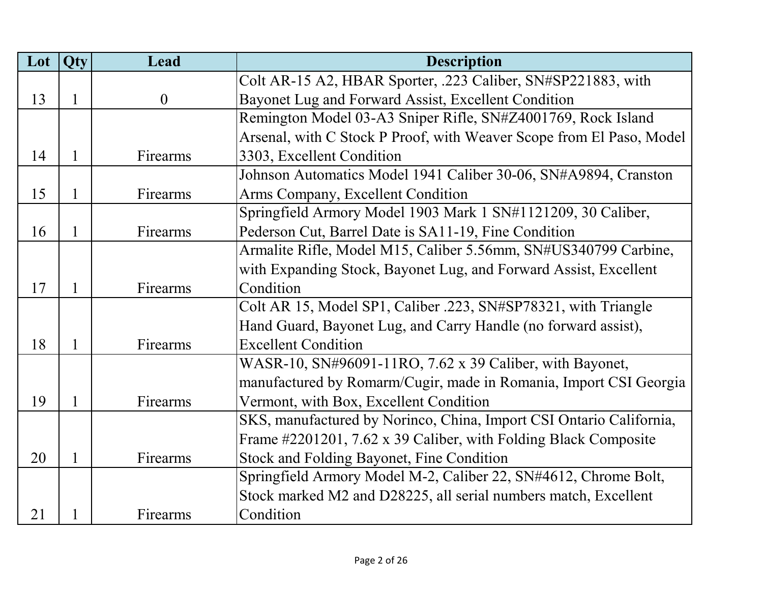| Lot | Qty          | Lead     | <b>Description</b>                                                   |
|-----|--------------|----------|----------------------------------------------------------------------|
|     |              |          | Colt AR-15 A2, HBAR Sporter, .223 Caliber, SN#SP221883, with         |
| 13  | $\mathbf{1}$ | $\theta$ | Bayonet Lug and Forward Assist, Excellent Condition                  |
|     |              |          | Remington Model 03-A3 Sniper Rifle, SN#Z4001769, Rock Island         |
|     |              |          | Arsenal, with C Stock P Proof, with Weaver Scope from El Paso, Model |
| 14  | 1            | Firearms | 3303, Excellent Condition                                            |
|     |              |          | Johnson Automatics Model 1941 Caliber 30-06, SN#A9894, Cranston      |
| 15  | 1            | Firearms | Arms Company, Excellent Condition                                    |
|     |              |          | Springfield Armory Model 1903 Mark 1 SN#1121209, 30 Caliber,         |
| 16  | 1            | Firearms | Pederson Cut, Barrel Date is SA11-19, Fine Condition                 |
|     |              |          | Armalite Rifle, Model M15, Caliber 5.56mm, SN#US340799 Carbine,      |
|     |              |          | with Expanding Stock, Bayonet Lug, and Forward Assist, Excellent     |
| 17  | $\mathbf{1}$ | Firearms | Condition                                                            |
|     |              |          | Colt AR 15, Model SP1, Caliber .223, SN#SP78321, with Triangle       |
|     |              |          | Hand Guard, Bayonet Lug, and Carry Handle (no forward assist),       |
| 18  | $\mathbf{1}$ | Firearms | <b>Excellent Condition</b>                                           |
|     |              |          | WASR-10, SN#96091-11RO, 7.62 x 39 Caliber, with Bayonet,             |
|     |              |          | manufactured by Romarm/Cugir, made in Romania, Import CSI Georgia    |
| 19  | $\mathbf{1}$ | Firearms | Vermont, with Box, Excellent Condition                               |
|     |              |          | SKS, manufactured by Norinco, China, Import CSI Ontario California,  |
|     |              |          | Frame #2201201, 7.62 x 39 Caliber, with Folding Black Composite      |
| 20  | $\mathbf{1}$ | Firearms | <b>Stock and Folding Bayonet, Fine Condition</b>                     |
|     |              |          | Springfield Armory Model M-2, Caliber 22, SN#4612, Chrome Bolt,      |
|     |              |          | Stock marked M2 and D28225, all serial numbers match, Excellent      |
| 21  |              | Firearms | Condition                                                            |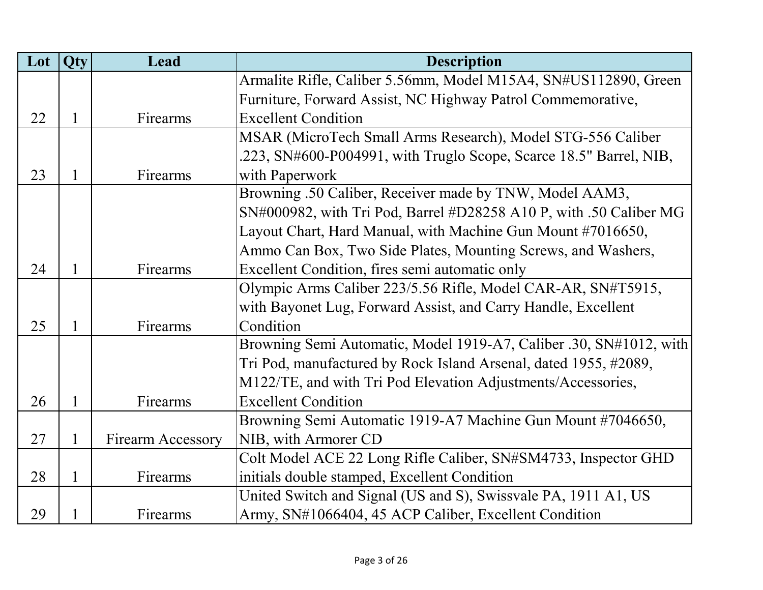| Lot | Qty          | Lead                     | <b>Description</b>                                                 |
|-----|--------------|--------------------------|--------------------------------------------------------------------|
|     |              |                          | Armalite Rifle, Caliber 5.56mm, Model M15A4, SN#US112890, Green    |
|     |              |                          | Furniture, Forward Assist, NC Highway Patrol Commemorative,        |
| 22  | $\mathbf{1}$ | Firearms                 | <b>Excellent Condition</b>                                         |
|     |              |                          | MSAR (MicroTech Small Arms Research), Model STG-556 Caliber        |
|     |              |                          | .223, SN#600-P004991, with Truglo Scope, Scarce 18.5" Barrel, NIB, |
| 23  | $\mathbf{1}$ | Firearms                 | with Paperwork                                                     |
|     |              |                          | Browning .50 Caliber, Receiver made by TNW, Model AAM3,            |
|     |              |                          | SN#000982, with Tri Pod, Barrel #D28258 A10 P, with .50 Caliber MG |
|     |              |                          | Layout Chart, Hard Manual, with Machine Gun Mount #7016650,        |
|     |              |                          | Ammo Can Box, Two Side Plates, Mounting Screws, and Washers,       |
| 24  | $\mathbf{1}$ | Firearms                 | Excellent Condition, fires semi automatic only                     |
|     |              |                          | Olympic Arms Caliber 223/5.56 Rifle, Model CAR-AR, SN#T5915,       |
|     |              |                          | with Bayonet Lug, Forward Assist, and Carry Handle, Excellent      |
| 25  | $\mathbf{1}$ | Firearms                 | Condition                                                          |
|     |              |                          | Browning Semi Automatic, Model 1919-A7, Caliber .30, SN#1012, with |
|     |              |                          | Tri Pod, manufactured by Rock Island Arsenal, dated 1955, #2089,   |
|     |              |                          | M122/TE, and with Tri Pod Elevation Adjustments/Accessories,       |
| 26  | $\mathbf{1}$ | Firearms                 | <b>Excellent Condition</b>                                         |
|     |              |                          | Browning Semi Automatic 1919-A7 Machine Gun Mount #7046650,        |
| 27  | $\mathbf{1}$ | <b>Firearm Accessory</b> | NIB, with Armorer CD                                               |
|     |              |                          | Colt Model ACE 22 Long Rifle Caliber, SN#SM4733, Inspector GHD     |
| 28  | $\mathbf{1}$ | Firearms                 | initials double stamped, Excellent Condition                       |
|     |              |                          | United Switch and Signal (US and S), Swissvale PA, 1911 A1, US     |
| 29  |              | Firearms                 | Army, SN#1066404, 45 ACP Caliber, Excellent Condition              |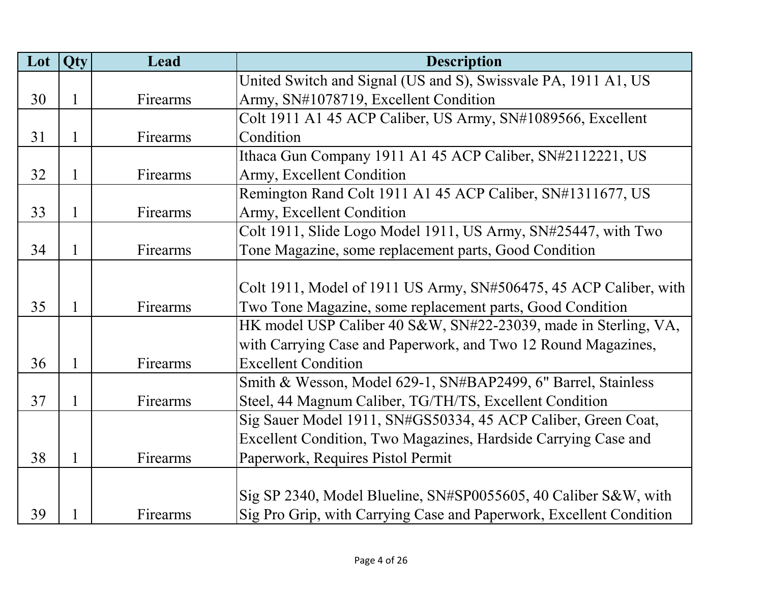| Lot | Qty          | Lead     | <b>Description</b>                                                  |
|-----|--------------|----------|---------------------------------------------------------------------|
|     |              |          | United Switch and Signal (US and S), Swissvale PA, 1911 A1, US      |
| 30  | $\mathbf{1}$ | Firearms | Army, SN#1078719, Excellent Condition                               |
|     |              |          | Colt 1911 A1 45 ACP Caliber, US Army, SN#1089566, Excellent         |
| 31  | $\mathbf{1}$ | Firearms | Condition                                                           |
|     |              |          | Ithaca Gun Company 1911 A1 45 ACP Caliber, SN#2112221, US           |
| 32  | $\mathbf{1}$ | Firearms | Army, Excellent Condition                                           |
|     |              |          | Remington Rand Colt 1911 A1 45 ACP Caliber, SN#1311677, US          |
| 33  | $\mathbf{1}$ | Firearms | Army, Excellent Condition                                           |
|     |              |          | Colt 1911, Slide Logo Model 1911, US Army, SN#25447, with Two       |
| 34  | 1            | Firearms | Tone Magazine, some replacement parts, Good Condition               |
|     |              |          |                                                                     |
|     |              |          | Colt 1911, Model of 1911 US Army, SN#506475, 45 ACP Caliber, with   |
| 35  | $\mathbf{1}$ | Firearms | Two Tone Magazine, some replacement parts, Good Condition           |
|     |              |          | HK model USP Caliber 40 S&W, SN#22-23039, made in Sterling, VA,     |
|     |              |          | with Carrying Case and Paperwork, and Two 12 Round Magazines,       |
| 36  | $\mathbf{1}$ | Firearms | <b>Excellent Condition</b>                                          |
|     |              |          | Smith & Wesson, Model 629-1, SN#BAP2499, 6" Barrel, Stainless       |
| 37  | $\mathbf{1}$ | Firearms | Steel, 44 Magnum Caliber, TG/TH/TS, Excellent Condition             |
|     |              |          | Sig Sauer Model 1911, SN#GS50334, 45 ACP Caliber, Green Coat,       |
|     |              |          | Excellent Condition, Two Magazines, Hardside Carrying Case and      |
| 38  | $\mathbf{1}$ | Firearms | Paperwork, Requires Pistol Permit                                   |
|     |              |          |                                                                     |
|     |              |          | Sig SP 2340, Model Blueline, SN#SP0055605, 40 Caliber S&W, with     |
| 39  |              | Firearms | Sig Pro Grip, with Carrying Case and Paperwork, Excellent Condition |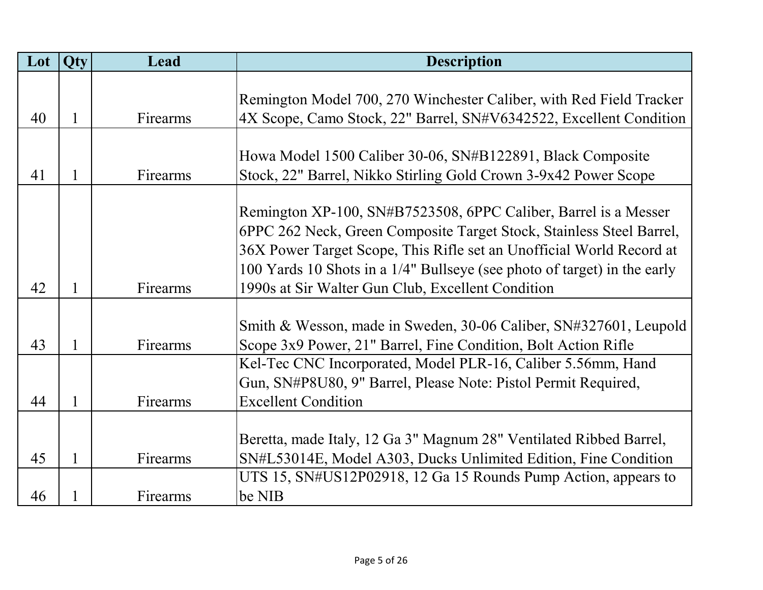| Lot | <b>Qty</b>   | Lead     | <b>Description</b>                                                       |
|-----|--------------|----------|--------------------------------------------------------------------------|
|     |              |          |                                                                          |
|     |              |          | Remington Model 700, 270 Winchester Caliber, with Red Field Tracker      |
| 40  | 1            | Firearms | 4X Scope, Camo Stock, 22" Barrel, SN#V6342522, Excellent Condition       |
|     |              |          |                                                                          |
|     |              |          | Howa Model 1500 Caliber 30-06, SN#B122891, Black Composite               |
| 41  | 1            | Firearms | Stock, 22" Barrel, Nikko Stirling Gold Crown 3-9x42 Power Scope          |
|     |              |          |                                                                          |
|     |              |          | Remington XP-100, SN#B7523508, 6PPC Caliber, Barrel is a Messer          |
|     |              |          | 6PPC 262 Neck, Green Composite Target Stock, Stainless Steel Barrel,     |
|     |              |          | 36X Power Target Scope, This Rifle set an Unofficial World Record at     |
|     |              |          | 100 Yards 10 Shots in a 1/4" Bullseye (see photo of target) in the early |
| 42  |              | Firearms | 1990s at Sir Walter Gun Club, Excellent Condition                        |
|     |              |          |                                                                          |
|     |              |          | Smith & Wesson, made in Sweden, 30-06 Caliber, SN#327601, Leupold        |
| 43  | 1            | Firearms | Scope 3x9 Power, 21" Barrel, Fine Condition, Bolt Action Rifle           |
|     |              |          | Kel-Tec CNC Incorporated, Model PLR-16, Caliber 5.56mm, Hand             |
|     |              |          | Gun, SN#P8U80, 9" Barrel, Please Note: Pistol Permit Required,           |
| 44  | 1            | Firearms | <b>Excellent Condition</b>                                               |
|     |              |          |                                                                          |
|     |              |          | Beretta, made Italy, 12 Ga 3" Magnum 28" Ventilated Ribbed Barrel,       |
| 45  | $\mathbf{1}$ | Firearms | SN#L53014E, Model A303, Ducks Unlimited Edition, Fine Condition          |
|     |              |          | UTS 15, SN#US12P02918, 12 Ga 15 Rounds Pump Action, appears to           |
| 46  |              | Firearms | be NIB                                                                   |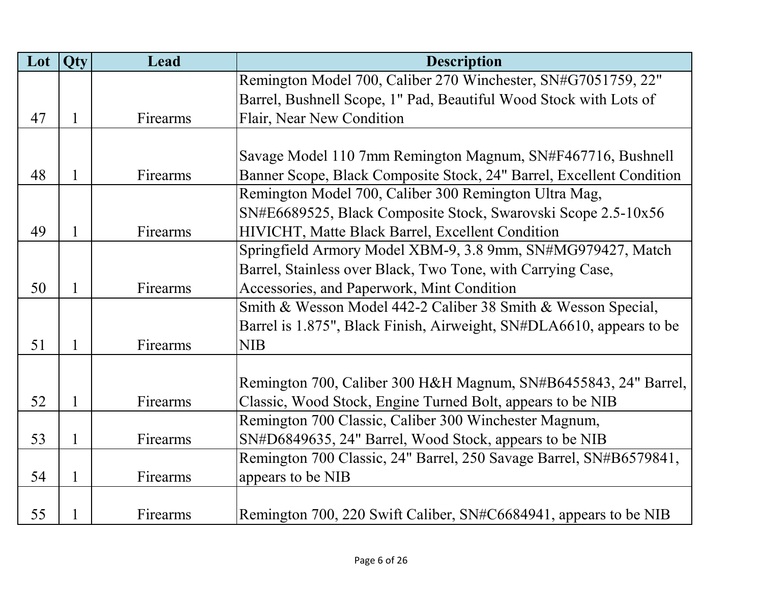| Lot | Qty          | Lead     | <b>Description</b>                                                   |
|-----|--------------|----------|----------------------------------------------------------------------|
|     |              |          | Remington Model 700, Caliber 270 Winchester, SN#G7051759, 22"        |
|     |              |          | Barrel, Bushnell Scope, 1" Pad, Beautiful Wood Stock with Lots of    |
| 47  | $\mathbf{1}$ | Firearms | Flair, Near New Condition                                            |
|     |              |          |                                                                      |
|     |              |          | Savage Model 110 7mm Remington Magnum, SN#F467716, Bushnell          |
| 48  | $\mathbf{1}$ | Firearms | Banner Scope, Black Composite Stock, 24" Barrel, Excellent Condition |
|     |              |          | Remington Model 700, Caliber 300 Remington Ultra Mag,                |
|     |              |          | SN#E6689525, Black Composite Stock, Swarovski Scope 2.5-10x56        |
| 49  | $\mathbf{1}$ | Firearms | HIVICHT, Matte Black Barrel, Excellent Condition                     |
|     |              |          | Springfield Armory Model XBM-9, 3.8 9mm, SN#MG979427, Match          |
|     |              |          | Barrel, Stainless over Black, Two Tone, with Carrying Case,          |
| 50  | $\mathbf{1}$ | Firearms | Accessories, and Paperwork, Mint Condition                           |
|     |              |          | Smith & Wesson Model 442-2 Caliber 38 Smith & Wesson Special,        |
|     |              |          | Barrel is 1.875", Black Finish, Airweight, SN#DLA6610, appears to be |
| 51  | $\mathbf{1}$ | Firearms | <b>NIB</b>                                                           |
|     |              |          |                                                                      |
|     |              |          | Remington 700, Caliber 300 H&H Magnum, SN#B6455843, 24" Barrel,      |
| 52  | $\mathbf{1}$ | Firearms | Classic, Wood Stock, Engine Turned Bolt, appears to be NIB           |
|     |              |          | Remington 700 Classic, Caliber 300 Winchester Magnum,                |
| 53  | $\mathbf{1}$ | Firearms | SN#D6849635, 24" Barrel, Wood Stock, appears to be NIB               |
|     |              |          | Remington 700 Classic, 24" Barrel, 250 Savage Barrel, SN#B6579841,   |
| 54  | $\mathbf{1}$ | Firearms | appears to be NIB                                                    |
|     |              |          |                                                                      |
| 55  | 1            | Firearms | Remington 700, 220 Swift Caliber, SN#C6684941, appears to be NIB     |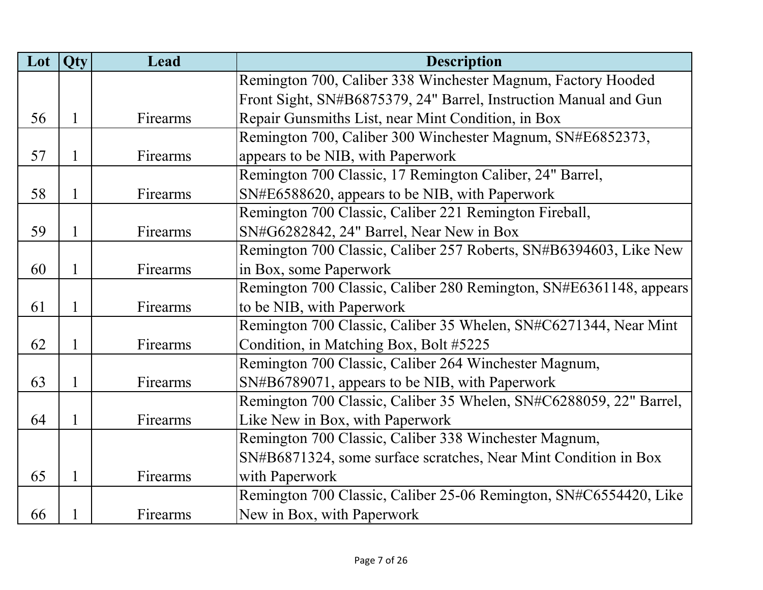| Lot | Qty          | Lead     | <b>Description</b>                                                 |
|-----|--------------|----------|--------------------------------------------------------------------|
|     |              |          | Remington 700, Caliber 338 Winchester Magnum, Factory Hooded       |
|     |              |          | Front Sight, SN#B6875379, 24" Barrel, Instruction Manual and Gun   |
| 56  | $\mathbf{1}$ | Firearms | Repair Gunsmiths List, near Mint Condition, in Box                 |
|     |              |          | Remington 700, Caliber 300 Winchester Magnum, SN#E6852373,         |
| 57  | $\mathbf{1}$ | Firearms | appears to be NIB, with Paperwork                                  |
|     |              |          | Remington 700 Classic, 17 Remington Caliber, 24" Barrel,           |
| 58  | 1            | Firearms | SN#E6588620, appears to be NIB, with Paperwork                     |
|     |              |          | Remington 700 Classic, Caliber 221 Remington Fireball,             |
| 59  | $\mathbf{1}$ | Firearms | SN#G6282842, 24" Barrel, Near New in Box                           |
|     |              |          | Remington 700 Classic, Caliber 257 Roberts, SN#B6394603, Like New  |
| 60  | $\mathbf{1}$ | Firearms | in Box, some Paperwork                                             |
|     |              |          | Remington 700 Classic, Caliber 280 Remington, SN#E6361148, appears |
| 61  | 1            | Firearms | to be NIB, with Paperwork                                          |
|     |              |          | Remington 700 Classic, Caliber 35 Whelen, SN#C6271344, Near Mint   |
| 62  | $\mathbf{1}$ | Firearms | Condition, in Matching Box, Bolt #5225                             |
|     |              |          | Remington 700 Classic, Caliber 264 Winchester Magnum,              |
| 63  | $\mathbf{1}$ | Firearms | SN#B6789071, appears to be NIB, with Paperwork                     |
|     |              |          | Remington 700 Classic, Caliber 35 Whelen, SN#C6288059, 22" Barrel, |
| 64  | $\mathbf{1}$ | Firearms | Like New in Box, with Paperwork                                    |
|     |              |          | Remington 700 Classic, Caliber 338 Winchester Magnum,              |
|     |              |          | SN#B6871324, some surface scratches, Near Mint Condition in Box    |
| 65  | $\mathbf{1}$ | Firearms | with Paperwork                                                     |
|     |              |          | Remington 700 Classic, Caliber 25-06 Remington, SN#C6554420, Like  |
| 66  | 1            | Firearms | New in Box, with Paperwork                                         |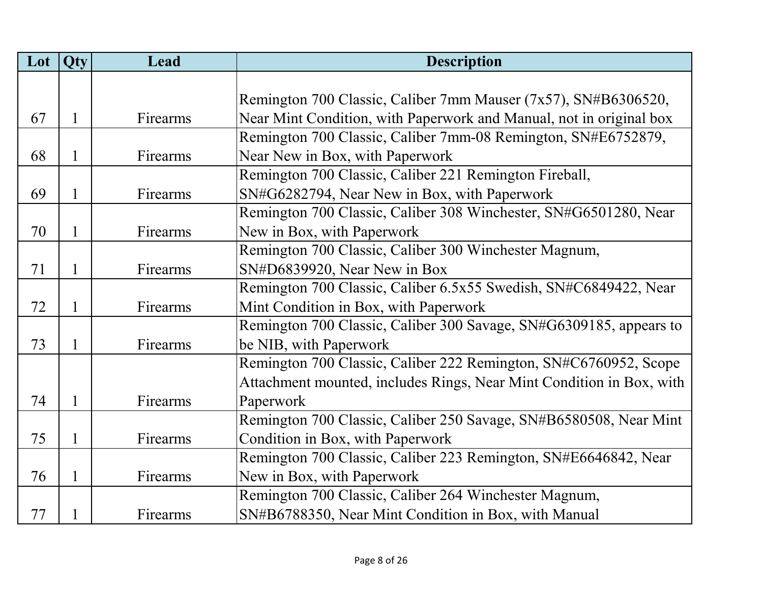| Lot | Qty          | Lead     | <b>Description</b>                                                   |
|-----|--------------|----------|----------------------------------------------------------------------|
|     |              |          |                                                                      |
|     |              |          | Remington 700 Classic, Caliber 7mm Mauser (7x57), SN#B6306520,       |
| 67  | $\mathbf{1}$ | Firearms | Near Mint Condition, with Paperwork and Manual, not in original box  |
|     |              |          | Remington 700 Classic, Caliber 7mm-08 Remington, SN#E6752879,        |
| 68  | $\mathbf{1}$ | Firearms | Near New in Box, with Paperwork                                      |
|     |              |          | Remington 700 Classic, Caliber 221 Remington Fireball,               |
| 69  | 1            | Firearms | SN#G6282794, Near New in Box, with Paperwork                         |
|     |              |          | Remington 700 Classic, Caliber 308 Winchester, SN#G6501280, Near     |
| 70  | 1            | Firearms | New in Box, with Paperwork                                           |
|     |              |          | Remington 700 Classic, Caliber 300 Winchester Magnum,                |
| 71  | $\mathbf{1}$ | Firearms | SN#D6839920, Near New in Box                                         |
|     |              |          | Remington 700 Classic, Caliber 6.5x55 Swedish, SN#C6849422, Near     |
| 72  | $\mathbf{1}$ | Firearms | Mint Condition in Box, with Paperwork                                |
|     |              |          | Remington 700 Classic, Caliber 300 Savage, SN#G6309185, appears to   |
| 73  | $\mathbf{1}$ | Firearms | be NIB, with Paperwork                                               |
|     |              |          | Remington 700 Classic, Caliber 222 Remington, SN#C6760952, Scope     |
|     |              |          | Attachment mounted, includes Rings, Near Mint Condition in Box, with |
| 74  | 1            | Firearms | Paperwork                                                            |
|     |              |          | Remington 700 Classic, Caliber 250 Savage, SN#B6580508, Near Mint    |
| 75  | $\mathbf{1}$ | Firearms | Condition in Box, with Paperwork                                     |
|     |              |          | Remington 700 Classic, Caliber 223 Remington, SN#E6646842, Near      |
| 76  | $\mathbf{1}$ | Firearms | New in Box, with Paperwork                                           |
|     |              |          | Remington 700 Classic, Caliber 264 Winchester Magnum,                |
| 77  | 1            | Firearms | SN#B6788350, Near Mint Condition in Box, with Manual                 |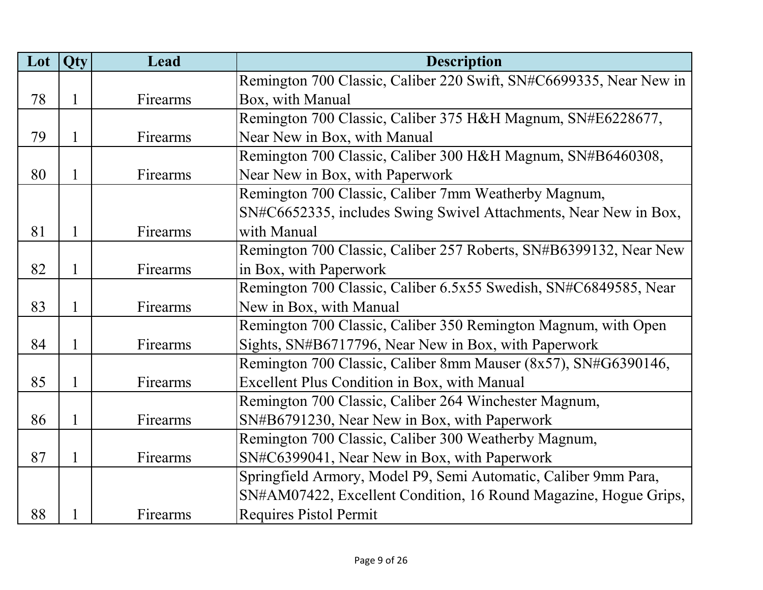| Lot | Qty          | Lead     | <b>Description</b>                                                 |
|-----|--------------|----------|--------------------------------------------------------------------|
|     |              |          | Remington 700 Classic, Caliber 220 Swift, SN#C6699335, Near New in |
| 78  | $\mathbf{1}$ | Firearms | Box, with Manual                                                   |
|     |              |          | Remington 700 Classic, Caliber 375 H&H Magnum, SN#E6228677,        |
| 79  | $\mathbf{1}$ | Firearms | Near New in Box, with Manual                                       |
|     |              |          | Remington 700 Classic, Caliber 300 H&H Magnum, SN#B6460308,        |
| 80  | $\mathbf{1}$ | Firearms | Near New in Box, with Paperwork                                    |
|     |              |          | Remington 700 Classic, Caliber 7mm Weatherby Magnum,               |
|     |              |          | SN#C6652335, includes Swing Swivel Attachments, Near New in Box,   |
| 81  | $\mathbf{1}$ | Firearms | with Manual                                                        |
|     |              |          | Remington 700 Classic, Caliber 257 Roberts, SN#B6399132, Near New  |
| 82  | $\mathbf{1}$ | Firearms | in Box, with Paperwork                                             |
|     |              |          | Remington 700 Classic, Caliber 6.5x55 Swedish, SN#C6849585, Near   |
| 83  | $\mathbf{1}$ | Firearms | New in Box, with Manual                                            |
|     |              |          | Remington 700 Classic, Caliber 350 Remington Magnum, with Open     |
| 84  | $\mathbf{1}$ | Firearms | Sights, SN#B6717796, Near New in Box, with Paperwork               |
|     |              |          | Remington 700 Classic, Caliber 8mm Mauser (8x57), SN#G6390146,     |
| 85  | $\mathbf{1}$ | Firearms | Excellent Plus Condition in Box, with Manual                       |
|     |              |          | Remington 700 Classic, Caliber 264 Winchester Magnum,              |
| 86  | $\mathbf{1}$ | Firearms | SN#B6791230, Near New in Box, with Paperwork                       |
|     |              |          | Remington 700 Classic, Caliber 300 Weatherby Magnum,               |
| 87  | $\mathbf{1}$ | Firearms | SN#C6399041, Near New in Box, with Paperwork                       |
|     |              |          | Springfield Armory, Model P9, Semi Automatic, Caliber 9mm Para,    |
|     |              |          | SN#AM07422, Excellent Condition, 16 Round Magazine, Hogue Grips,   |
| 88  |              | Firearms | <b>Requires Pistol Permit</b>                                      |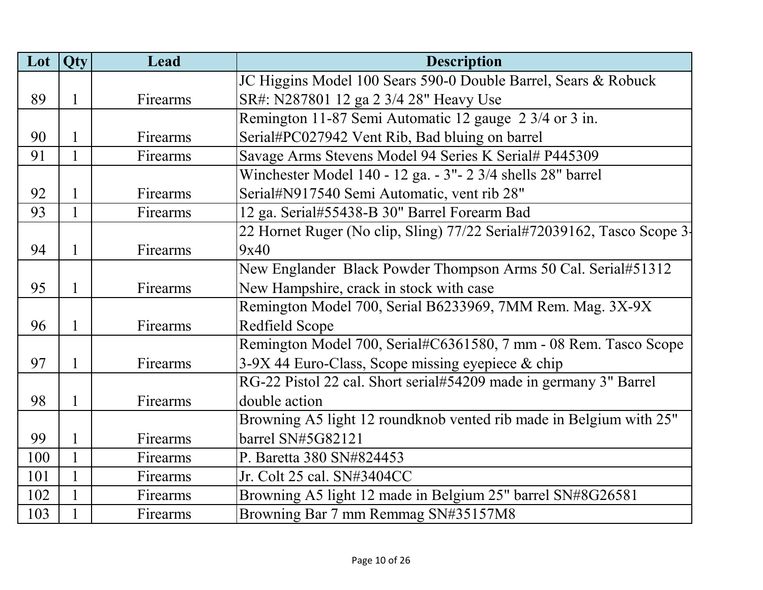| Lot | Qty          | Lead     | <b>Description</b>                                                     |
|-----|--------------|----------|------------------------------------------------------------------------|
|     |              |          | JC Higgins Model 100 Sears 590-0 Double Barrel, Sears & Robuck         |
| 89  | $\mathbf{1}$ | Firearms | SR#: N287801 12 ga 2 3/4 28" Heavy Use                                 |
|     |              |          | Remington 11-87 Semi Automatic 12 gauge 2 3/4 or 3 in.                 |
| 90  | 1            | Firearms | Serial#PC027942 Vent Rib, Bad bluing on barrel                         |
| 91  | $\mathbf{1}$ | Firearms | Savage Arms Stevens Model 94 Series K Serial# P445309                  |
|     |              |          | Winchester Model 140 - 12 ga. - 3" - 2 3/4 shells 28" barrel           |
| 92  | $\mathbf{1}$ | Firearms | Serial#N917540 Semi Automatic, vent rib 28"                            |
| 93  | 1            | Firearms | 12 ga. Serial#55438-B 30" Barrel Forearm Bad                           |
|     |              |          | 22 Hornet Ruger (No clip, Sling) 77/22 Serial#72039162, Tasco Scope 3- |
| 94  | 1            | Firearms | 9x40                                                                   |
|     |              |          | New Englander Black Powder Thompson Arms 50 Cal. Serial#51312          |
| 95  | $\mathbf{1}$ | Firearms | New Hampshire, crack in stock with case                                |
|     |              |          | Remington Model 700, Serial B6233969, 7MM Rem. Mag. 3X-9X              |
| 96  | $\mathbf{1}$ | Firearms | Redfield Scope                                                         |
|     |              |          | Remington Model 700, Serial#C6361580, 7 mm - 08 Rem. Tasco Scope       |
| 97  | $\mathbf{1}$ | Firearms | $3-9X$ 44 Euro-Class, Scope missing eyepiece & chip                    |
|     |              |          | RG-22 Pistol 22 cal. Short serial#54209 made in germany 3" Barrel      |
| 98  | $\mathbf{1}$ | Firearms | double action                                                          |
|     |              |          | Browning A5 light 12 roundknob vented rib made in Belgium with 25"     |
| 99  | $\mathbf{1}$ | Firearms | barrel SN#5G82121                                                      |
| 100 | $\mathbf{1}$ | Firearms | P. Baretta 380 SN#824453                                               |
| 101 | $\mathbf{1}$ | Firearms | Jr. Colt 25 cal. SN#3404CC                                             |
| 102 | $\mathbf{1}$ | Firearms | Browning A5 light 12 made in Belgium 25" barrel SN#8G26581             |
| 103 | $\mathbf{1}$ | Firearms | Browning Bar 7 mm Remmag SN#35157M8                                    |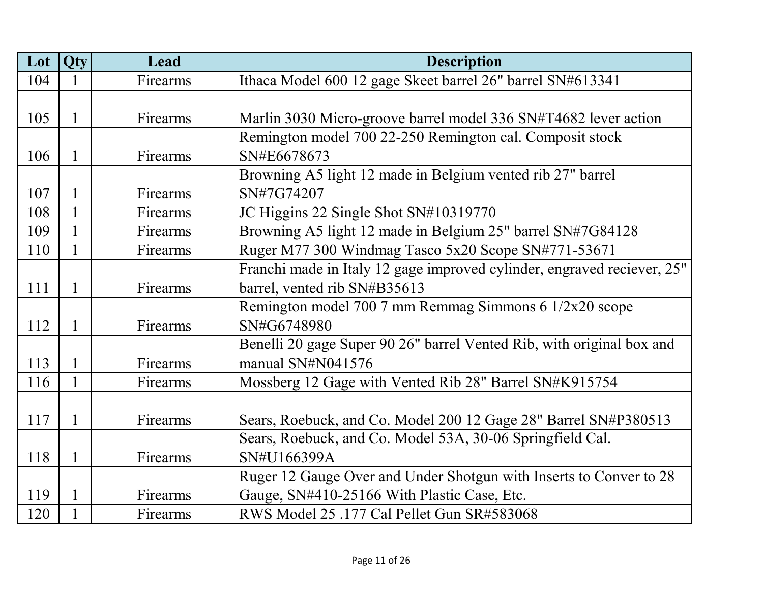| Lot | Qty          | Lead     | <b>Description</b>                                                      |
|-----|--------------|----------|-------------------------------------------------------------------------|
| 104 |              | Firearms | Ithaca Model 600 12 gage Skeet barrel 26" barrel SN#613341              |
|     |              |          |                                                                         |
| 105 | 1            | Firearms | Marlin 3030 Micro-groove barrel model 336 SN#T4682 lever action         |
|     |              |          | Remington model 700 22-250 Remington cal. Composit stock                |
| 106 | $\mathbf{1}$ | Firearms | SN#E6678673                                                             |
|     |              |          | Browning A5 light 12 made in Belgium vented rib 27" barrel              |
| 107 | 1            | Firearms | SN#7G74207                                                              |
| 108 | $\mathbf{1}$ | Firearms | JC Higgins 22 Single Shot SN#10319770                                   |
| 109 | 1            | Firearms | Browning A5 light 12 made in Belgium 25" barrel SN#7G84128              |
| 110 | 1            | Firearms | Ruger M77 300 Windmag Tasco 5x20 Scope SN#771-53671                     |
|     |              |          | Franchi made in Italy 12 gage improved cylinder, engraved reciever, 25" |
| 111 | 1            | Firearms | barrel, vented rib SN#B35613                                            |
|     |              |          | Remington model 700 7 mm Remmag Simmons 6 1/2x20 scope                  |
| 112 | 1            | Firearms | SN#G6748980                                                             |
|     |              |          | Benelli 20 gage Super 90 26" barrel Vented Rib, with original box and   |
| 113 | 1            | Firearms | manual SN#N041576                                                       |
| 116 | $\mathbf{1}$ | Firearms | Mossberg 12 Gage with Vented Rib 28" Barrel SN#K915754                  |
|     |              |          |                                                                         |
| 117 | 1            | Firearms | Sears, Roebuck, and Co. Model 200 12 Gage 28" Barrel SN#P380513         |
|     |              |          | Sears, Roebuck, and Co. Model 53A, 30-06 Springfield Cal.               |
| 118 | 1            | Firearms | SN#U166399A                                                             |
|     |              |          | Ruger 12 Gauge Over and Under Shotgun with Inserts to Conver to 28      |
| 119 | 1            | Firearms | Gauge, SN#410-25166 With Plastic Case, Etc.                             |
| 120 |              | Firearms | RWS Model 25 .177 Cal Pellet Gun SR#583068                              |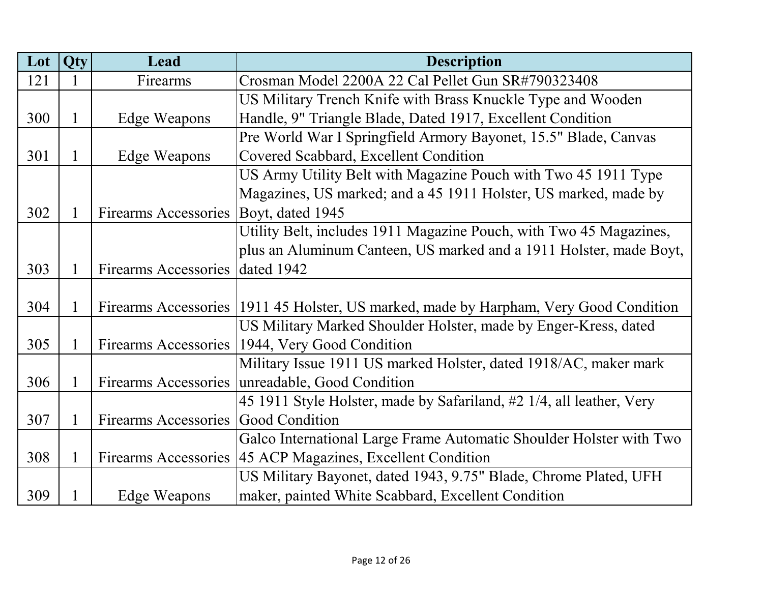| Lot | <b>Qty</b>   | Lead                            | <b>Description</b>                                                                      |
|-----|--------------|---------------------------------|-----------------------------------------------------------------------------------------|
| 121 | 1            | Firearms                        | Crosman Model 2200A 22 Cal Pellet Gun SR#790323408                                      |
|     |              |                                 | US Military Trench Knife with Brass Knuckle Type and Wooden                             |
| 300 | $\mathbf{1}$ | Edge Weapons                    | Handle, 9" Triangle Blade, Dated 1917, Excellent Condition                              |
|     |              |                                 | Pre World War I Springfield Armory Bayonet, 15.5" Blade, Canvas                         |
| 301 | $\mathbf{1}$ | <b>Edge Weapons</b>             | Covered Scabbard, Excellent Condition                                                   |
|     |              |                                 | US Army Utility Belt with Magazine Pouch with Two 45 1911 Type                          |
|     |              |                                 | Magazines, US marked; and a 45 1911 Holster, US marked, made by                         |
| 302 | $\mathbf{1}$ | <b>Firearms Accessories</b>     | Boyt, dated 1945                                                                        |
|     |              |                                 | Utility Belt, includes 1911 Magazine Pouch, with Two 45 Magazines,                      |
|     |              |                                 | plus an Aluminum Canteen, US marked and a 1911 Holster, made Boyt,                      |
| 303 | $\mathbf{1}$ | Firearms Accessories dated 1942 |                                                                                         |
|     |              |                                 |                                                                                         |
| 304 | 1            |                                 | Firearms Accessories   1911 45 Holster, US marked, made by Harpham, Very Good Condition |
|     |              |                                 | US Military Marked Shoulder Holster, made by Enger-Kress, dated                         |
| 305 | $\mathbf{1}$ | Firearms Accessories            | 1944, Very Good Condition                                                               |
|     |              |                                 | Military Issue 1911 US marked Holster, dated 1918/AC, maker mark                        |
| 306 | 1            | <b>Firearms Accessories</b>     | unreadable, Good Condition                                                              |
|     |              |                                 | 45 1911 Style Holster, made by Safariland, #2 1/4, all leather, Very                    |
| 307 | $\mathbf{1}$ | <b>Firearms Accessories</b>     | <b>Good Condition</b>                                                                   |
|     |              |                                 | Galco International Large Frame Automatic Shoulder Holster with Two                     |
| 308 | $\mathbf{1}$ |                                 | Firearms Accessories   45 ACP Magazines, Excellent Condition                            |
|     |              |                                 | US Military Bayonet, dated 1943, 9.75" Blade, Chrome Plated, UFH                        |
| 309 | 1            | Edge Weapons                    | maker, painted White Scabbard, Excellent Condition                                      |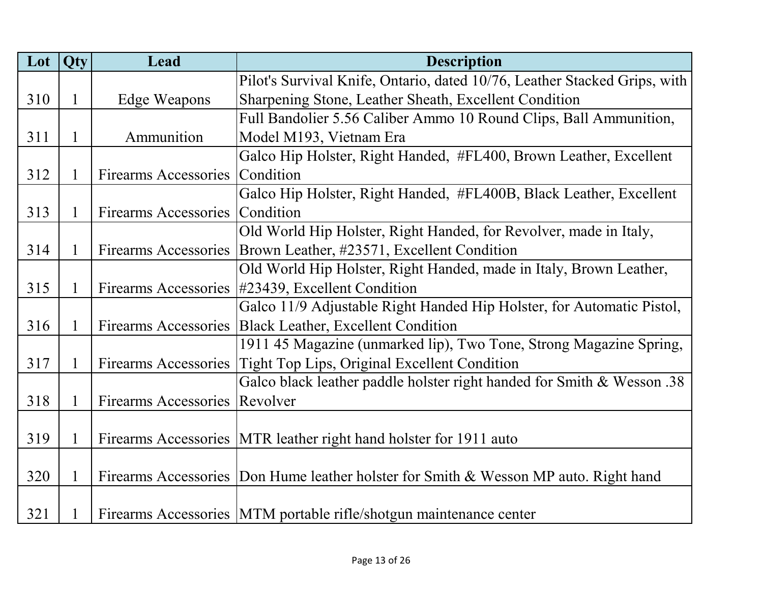| Lot | Qty          | Lead                        | <b>Description</b>                                                                   |
|-----|--------------|-----------------------------|--------------------------------------------------------------------------------------|
|     |              |                             | Pilot's Survival Knife, Ontario, dated 10/76, Leather Stacked Grips, with            |
| 310 | $\mathbf{1}$ | Edge Weapons                | Sharpening Stone, Leather Sheath, Excellent Condition                                |
|     |              |                             | Full Bandolier 5.56 Caliber Ammo 10 Round Clips, Ball Ammunition,                    |
| 311 | $\mathbf{1}$ | Ammunition                  | Model M193, Vietnam Era                                                              |
|     |              |                             | Galco Hip Holster, Right Handed, #FL400, Brown Leather, Excellent                    |
| 312 | $\mathbf{1}$ | Firearms Accessories        | Condition                                                                            |
|     |              |                             | Galco Hip Holster, Right Handed, #FL400B, Black Leather, Excellent                   |
| 313 | $\mathbf{1}$ | <b>Firearms Accessories</b> | Condition                                                                            |
|     |              |                             | Old World Hip Holster, Right Handed, for Revolver, made in Italy,                    |
| 314 | $\mathbf{1}$ | Firearms Accessories        | Brown Leather, #23571, Excellent Condition                                           |
|     |              |                             | Old World Hip Holster, Right Handed, made in Italy, Brown Leather,                   |
| 315 | $\mathbf{1}$ |                             | Firearms Accessories #23439, Excellent Condition                                     |
|     |              |                             | Galco 11/9 Adjustable Right Handed Hip Holster, for Automatic Pistol,                |
| 316 | $\mathbf{1}$ |                             | Firearms Accessories   Black Leather, Excellent Condition                            |
|     |              |                             | 1911 45 Magazine (unmarked lip), Two Tone, Strong Magazine Spring,                   |
| 317 | $\mathbf{1}$ |                             | Firearms Accessories   Tight Top Lips, Original Excellent Condition                  |
|     |              |                             | Galco black leather paddle holster right handed for Smith & Wesson .38               |
| 318 | $\mathbf{1}$ | Firearms Accessories        | Revolver                                                                             |
|     |              |                             |                                                                                      |
| 319 | $\mathbf{1}$ |                             | Firearms Accessories MTR leather right hand holster for 1911 auto                    |
|     |              |                             |                                                                                      |
| 320 | $\mathbf{1}$ |                             | Firearms Accessories Don Hume leather holster for Smith & Wesson MP auto. Right hand |
|     |              |                             |                                                                                      |
| 321 | 1            |                             | Firearms Accessories   MTM portable rifle/shotgun maintenance center                 |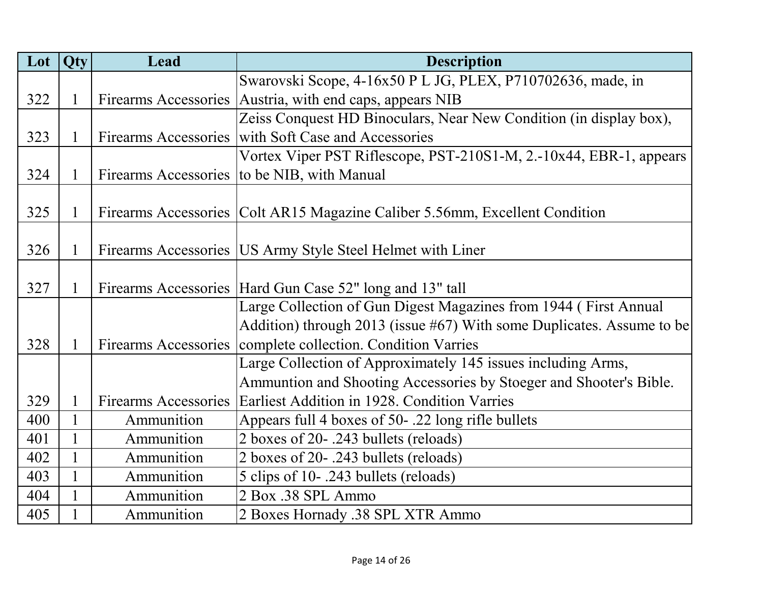|     | Lot Qty      | Lead                        | <b>Description</b>                                                            |
|-----|--------------|-----------------------------|-------------------------------------------------------------------------------|
|     |              |                             | Swarovski Scope, 4-16x50 P L JG, PLEX, P710702636, made, in                   |
| 322 | $\mathbf{1}$ |                             | Firearms Accessories   Austria, with end caps, appears NIB                    |
|     |              |                             | Zeiss Conquest HD Binoculars, Near New Condition (in display box),            |
| 323 | $\mathbf{1}$ |                             | Firearms Accessories with Soft Case and Accessories                           |
|     |              |                             | Vortex Viper PST Riflescope, PST-210S1-M, 2.-10x44, EBR-1, appears            |
| 324 | $\mathbf{1}$ |                             | Firearms Accessories to be NIB, with Manual                                   |
|     |              |                             |                                                                               |
| 325 | $\mathbf{1}$ |                             | Firearms Accessories   Colt AR15 Magazine Caliber 5.56mm, Excellent Condition |
|     |              |                             |                                                                               |
| 326 | $\mathbf{1}$ |                             | Firearms Accessories   US Army Style Steel Helmet with Liner                  |
|     |              |                             |                                                                               |
| 327 | 1            |                             | Firearms Accessories   Hard Gun Case 52" long and 13" tall                    |
|     |              |                             | Large Collection of Gun Digest Magazines from 1944 (First Annual              |
|     |              |                             | Addition) through 2013 (issue #67) With some Duplicates. Assume to be         |
| 328 | $\mathbf{1}$ |                             | Firearms Accessories   complete collection. Condition Varries                 |
|     |              |                             | Large Collection of Approximately 145 issues including Arms,                  |
|     |              |                             | Ammuntion and Shooting Accessories by Stoeger and Shooter's Bible.            |
| 329 | $\mathbf{1}$ | <b>Firearms Accessories</b> | Earliest Addition in 1928. Condition Varries                                  |
| 400 | $\mathbf{1}$ | Ammunition                  | Appears full 4 boxes of 50-.22 long rifle bullets                             |
| 401 | $\mathbf{1}$ | Ammunition                  | 2 boxes of 20-.243 bullets (reloads)                                          |
| 402 | $\mathbf{1}$ | Ammunition                  | 2 boxes of 20-.243 bullets (reloads)                                          |
| 403 | $\mathbf{1}$ | Ammunition                  | 5 clips of 10-.243 bullets (reloads)                                          |
| 404 | $\mathbf{1}$ | Ammunition                  | 2 Box .38 SPL Ammo                                                            |
| 405 | $\mathbf{1}$ | Ammunition                  | 2 Boxes Hornady .38 SPL XTR Ammo                                              |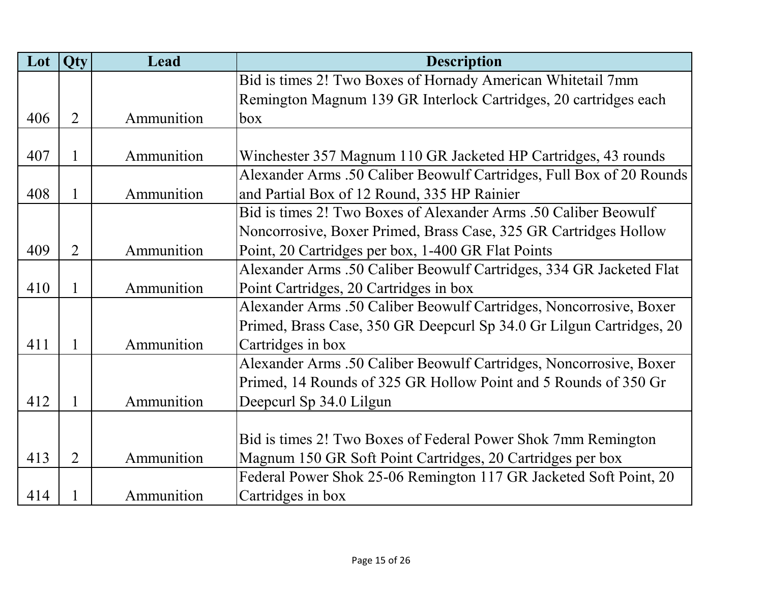| Lot | <b>Qty</b>     | Lead       | <b>Description</b>                                                   |
|-----|----------------|------------|----------------------------------------------------------------------|
|     |                |            | Bid is times 2! Two Boxes of Hornady American Whitetail 7mm          |
|     |                |            | Remington Magnum 139 GR Interlock Cartridges, 20 cartridges each     |
| 406 | $\overline{2}$ | Ammunition | box                                                                  |
|     |                |            |                                                                      |
| 407 | 1              | Ammunition | Winchester 357 Magnum 110 GR Jacketed HP Cartridges, 43 rounds       |
|     |                |            | Alexander Arms .50 Caliber Beowulf Cartridges, Full Box of 20 Rounds |
| 408 | 1              | Ammunition | and Partial Box of 12 Round, 335 HP Rainier                          |
|     |                |            | Bid is times 2! Two Boxes of Alexander Arms .50 Caliber Beowulf      |
|     |                |            | Noncorrosive, Boxer Primed, Brass Case, 325 GR Cartridges Hollow     |
| 409 | $\overline{2}$ | Ammunition | Point, 20 Cartridges per box, 1-400 GR Flat Points                   |
|     |                |            | Alexander Arms .50 Caliber Beowulf Cartridges, 334 GR Jacketed Flat  |
| 410 | 1              | Ammunition | Point Cartridges, 20 Cartridges in box                               |
|     |                |            | Alexander Arms .50 Caliber Beowulf Cartridges, Noncorrosive, Boxer   |
|     |                |            | Primed, Brass Case, 350 GR Deepcurl Sp 34.0 Gr Lilgun Cartridges, 20 |
| 411 | $\mathbf{1}$   | Ammunition | Cartridges in box                                                    |
|     |                |            | Alexander Arms .50 Caliber Beowulf Cartridges, Noncorrosive, Boxer   |
|     |                |            | Primed, 14 Rounds of 325 GR Hollow Point and 5 Rounds of 350 Gr      |
| 412 | 1              | Ammunition | Deepcurl Sp 34.0 Lilgun                                              |
|     |                |            |                                                                      |
|     |                |            | Bid is times 2! Two Boxes of Federal Power Shok 7mm Remington        |
| 413 | $\overline{2}$ | Ammunition | Magnum 150 GR Soft Point Cartridges, 20 Cartridges per box           |
|     |                |            | Federal Power Shok 25-06 Remington 117 GR Jacketed Soft Point, 20    |
| 414 | 1              | Ammunition | Cartridges in box                                                    |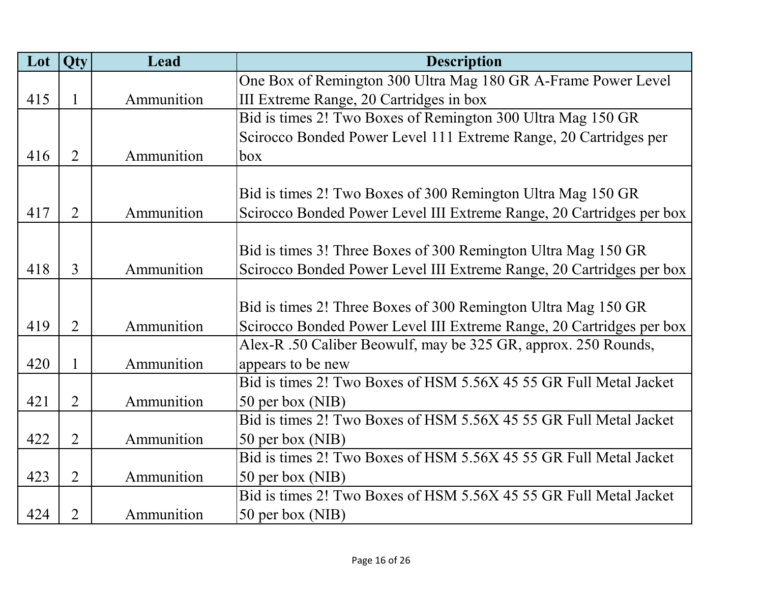| Lot | <b>Qty</b>     | Lead       | <b>Description</b>                                                   |
|-----|----------------|------------|----------------------------------------------------------------------|
|     |                |            | One Box of Remington 300 Ultra Mag 180 GR A-Frame Power Level        |
| 415 | $\mathbf{1}$   | Ammunition | III Extreme Range, 20 Cartridges in box                              |
|     |                |            | Bid is times 2! Two Boxes of Remington 300 Ultra Mag 150 GR          |
|     |                |            | Scirocco Bonded Power Level 111 Extreme Range, 20 Cartridges per     |
| 416 | $\overline{2}$ | Ammunition | box                                                                  |
|     |                |            |                                                                      |
|     |                |            | Bid is times 2! Two Boxes of 300 Remington Ultra Mag 150 GR          |
| 417 | $\overline{2}$ | Ammunition | Scirocco Bonded Power Level III Extreme Range, 20 Cartridges per box |
|     |                |            |                                                                      |
|     |                |            | Bid is times 3! Three Boxes of 300 Remington Ultra Mag 150 GR        |
| 418 | 3              | Ammunition | Scirocco Bonded Power Level III Extreme Range, 20 Cartridges per box |
|     |                |            |                                                                      |
|     |                |            | Bid is times 2! Three Boxes of 300 Remington Ultra Mag 150 GR        |
| 419 | $\overline{2}$ | Ammunition | Scirocco Bonded Power Level III Extreme Range, 20 Cartridges per box |
|     |                |            | Alex-R .50 Caliber Beowulf, may be 325 GR, approx. 250 Rounds,       |
| 420 | $\mathbf{1}$   | Ammunition | appears to be new                                                    |
|     |                |            | Bid is times 2! Two Boxes of HSM 5.56X 45 55 GR Full Metal Jacket    |
| 421 | $\overline{2}$ | Ammunition | 50 per box (NIB)                                                     |
|     |                |            | Bid is times 2! Two Boxes of HSM 5.56X 45 55 GR Full Metal Jacket    |
| 422 | $\overline{2}$ | Ammunition | 50 per box (NIB)                                                     |
|     |                |            | Bid is times 2! Two Boxes of HSM 5.56X 45 55 GR Full Metal Jacket    |
| 423 | $\overline{2}$ | Ammunition | 50 per box (NIB)                                                     |
|     |                |            | Bid is times 2! Two Boxes of HSM 5.56X 45 55 GR Full Metal Jacket    |
| 424 | $\overline{2}$ | Ammunition | 50 per box (NIB)                                                     |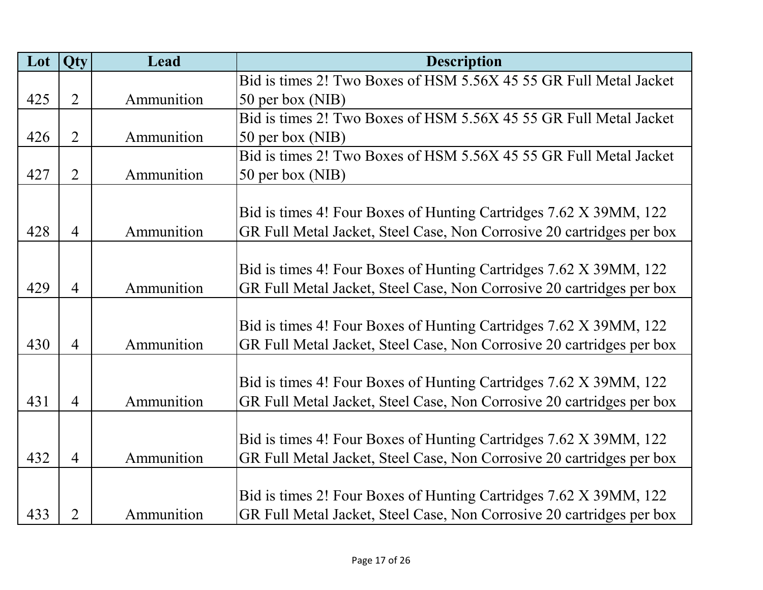| Lot | <b>Qty</b>     | <b>Lead</b> | <b>Description</b>                                                    |
|-----|----------------|-------------|-----------------------------------------------------------------------|
|     |                |             | Bid is times 2! Two Boxes of HSM 5.56X 45 55 GR Full Metal Jacket     |
| 425 | $\overline{2}$ | Ammunition  | 50 per box (NIB)                                                      |
|     |                |             | Bid is times 2! Two Boxes of HSM 5.56X 45 55 GR Full Metal Jacket     |
| 426 | $\overline{2}$ | Ammunition  | 50 per box (NIB)                                                      |
|     |                |             | Bid is times 2! Two Boxes of HSM 5.56X 45 55 GR Full Metal Jacket     |
| 427 | $\overline{2}$ | Ammunition  | 50 per box (NIB)                                                      |
|     |                |             |                                                                       |
|     |                |             | Bid is times 4! Four Boxes of Hunting Cartridges 7.62 X 39MM, 122     |
| 428 | $\overline{4}$ | Ammunition  | GR Full Metal Jacket, Steel Case, Non Corrosive 20 cartridges per box |
|     |                |             |                                                                       |
|     |                |             | Bid is times 4! Four Boxes of Hunting Cartridges 7.62 X 39MM, 122     |
| 429 | $\overline{4}$ | Ammunition  | GR Full Metal Jacket, Steel Case, Non Corrosive 20 cartridges per box |
|     |                |             |                                                                       |
|     |                |             | Bid is times 4! Four Boxes of Hunting Cartridges 7.62 X 39MM, 122     |
| 430 | $\overline{4}$ | Ammunition  | GR Full Metal Jacket, Steel Case, Non Corrosive 20 cartridges per box |
|     |                |             |                                                                       |
|     |                |             | Bid is times 4! Four Boxes of Hunting Cartridges 7.62 X 39MM, 122     |
| 431 | $\overline{4}$ | Ammunition  | GR Full Metal Jacket, Steel Case, Non Corrosive 20 cartridges per box |
|     |                |             |                                                                       |
|     |                |             | Bid is times 4! Four Boxes of Hunting Cartridges 7.62 X 39MM, 122     |
| 432 | $\overline{4}$ | Ammunition  | GR Full Metal Jacket, Steel Case, Non Corrosive 20 cartridges per box |
|     |                |             |                                                                       |
|     |                |             | Bid is times 2! Four Boxes of Hunting Cartridges 7.62 X 39MM, 122     |
| 433 | $\overline{2}$ | Ammunition  | GR Full Metal Jacket, Steel Case, Non Corrosive 20 cartridges per box |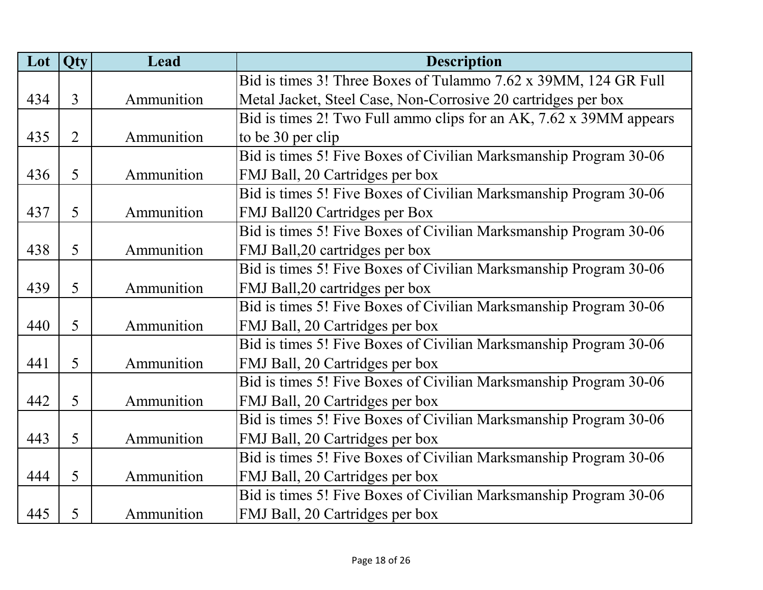| Lot | Qty            | Lead       | <b>Description</b>                                                 |
|-----|----------------|------------|--------------------------------------------------------------------|
|     |                |            | Bid is times 3! Three Boxes of Tulammo 7.62 x 39MM, 124 GR Full    |
| 434 | $\overline{3}$ | Ammunition | Metal Jacket, Steel Case, Non-Corrosive 20 cartridges per box      |
|     |                |            | Bid is times 2! Two Full ammo clips for an AK, 7.62 x 39MM appears |
| 435 | $\overline{2}$ | Ammunition | to be 30 per clip                                                  |
|     |                |            | Bid is times 5! Five Boxes of Civilian Marksmanship Program 30-06  |
| 436 | 5              | Ammunition | FMJ Ball, 20 Cartridges per box                                    |
|     |                |            | Bid is times 5! Five Boxes of Civilian Marksmanship Program 30-06  |
| 437 | 5              | Ammunition | FMJ Ball20 Cartridges per Box                                      |
|     |                |            | Bid is times 5! Five Boxes of Civilian Marksmanship Program 30-06  |
| 438 | 5              | Ammunition | FMJ Ball, 20 cartridges per box                                    |
|     |                |            | Bid is times 5! Five Boxes of Civilian Marksmanship Program 30-06  |
| 439 | 5              | Ammunition | FMJ Ball, 20 cartridges per box                                    |
|     |                |            | Bid is times 5! Five Boxes of Civilian Marksmanship Program 30-06  |
| 440 | 5              | Ammunition | FMJ Ball, 20 Cartridges per box                                    |
|     |                |            | Bid is times 5! Five Boxes of Civilian Marksmanship Program 30-06  |
| 441 | 5              | Ammunition | FMJ Ball, 20 Cartridges per box                                    |
|     |                |            | Bid is times 5! Five Boxes of Civilian Marksmanship Program 30-06  |
| 442 | 5              | Ammunition | FMJ Ball, 20 Cartridges per box                                    |
|     |                |            | Bid is times 5! Five Boxes of Civilian Marksmanship Program 30-06  |
| 443 | 5              | Ammunition | FMJ Ball, 20 Cartridges per box                                    |
|     |                |            | Bid is times 5! Five Boxes of Civilian Marksmanship Program 30-06  |
| 444 | 5              | Ammunition | FMJ Ball, 20 Cartridges per box                                    |
|     |                |            | Bid is times 5! Five Boxes of Civilian Marksmanship Program 30-06  |
| 445 | 5              | Ammunition | FMJ Ball, 20 Cartridges per box                                    |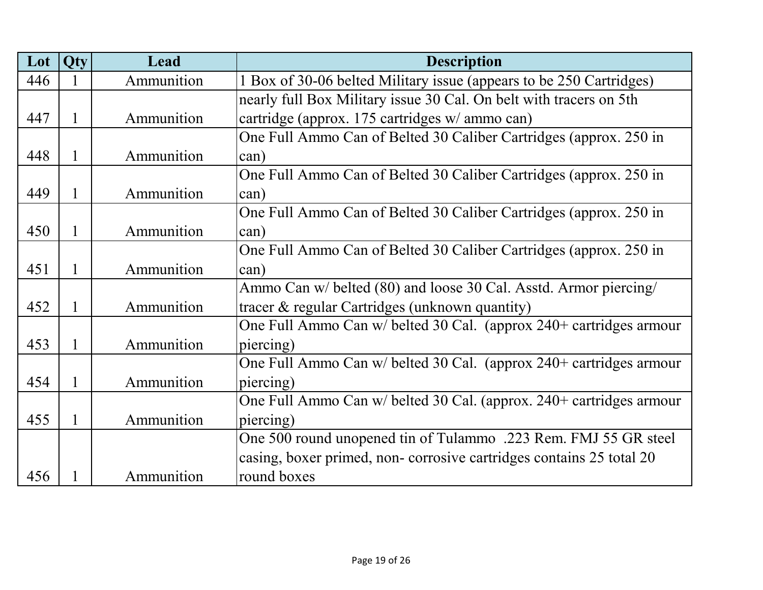| Lot | <b>Qty</b>   | <b>Lead</b> | <b>Description</b>                                                  |
|-----|--------------|-------------|---------------------------------------------------------------------|
| 446 |              | Ammunition  | 1 Box of 30-06 belted Military issue (appears to be 250 Cartridges) |
|     |              |             | nearly full Box Military issue 30 Cal. On belt with tracers on 5th  |
| 447 | $\mathbf{1}$ | Ammunition  | cartridge (approx. 175 cartridges w/ ammo can)                      |
|     |              |             | One Full Ammo Can of Belted 30 Caliber Cartridges (approx. 250 in   |
| 448 | $\mathbf{1}$ | Ammunition  | can)                                                                |
|     |              |             | One Full Ammo Can of Belted 30 Caliber Cartridges (approx. 250 in   |
| 449 | $\mathbf{1}$ | Ammunition  | can)                                                                |
|     |              |             | One Full Ammo Can of Belted 30 Caliber Cartridges (approx. 250 in   |
| 450 | $\mathbf{1}$ | Ammunition  | can)                                                                |
|     |              |             | One Full Ammo Can of Belted 30 Caliber Cartridges (approx. 250 in   |
| 451 | $\mathbf{1}$ | Ammunition  | can)                                                                |
|     |              |             | Ammo Can w/ belted (80) and loose 30 Cal. Asstd. Armor piercing/    |
| 452 | 1            | Ammunition  | tracer & regular Cartridges (unknown quantity)                      |
|     |              |             | One Full Ammo Can w/ belted 30 Cal. (approx 240+ cartridges armour  |
| 453 | $\mathbf{1}$ | Ammunition  | piercing)                                                           |
|     |              |             | One Full Ammo Can w/ belted 30 Cal. (approx 240+ cartridges armour  |
| 454 | $\mathbf{1}$ | Ammunition  | piercing)                                                           |
|     |              |             | One Full Ammo Can w/ belted 30 Cal. (approx. 240+ cartridges armour |
| 455 | 1            | Ammunition  | piercing)                                                           |
|     |              |             | One 500 round unopened tin of Tulammo .223 Rem. FMJ 55 GR steel     |
|     |              |             | casing, boxer primed, non-corrosive cartridges contains 25 total 20 |
| 456 | 1            | Ammunition  | round boxes                                                         |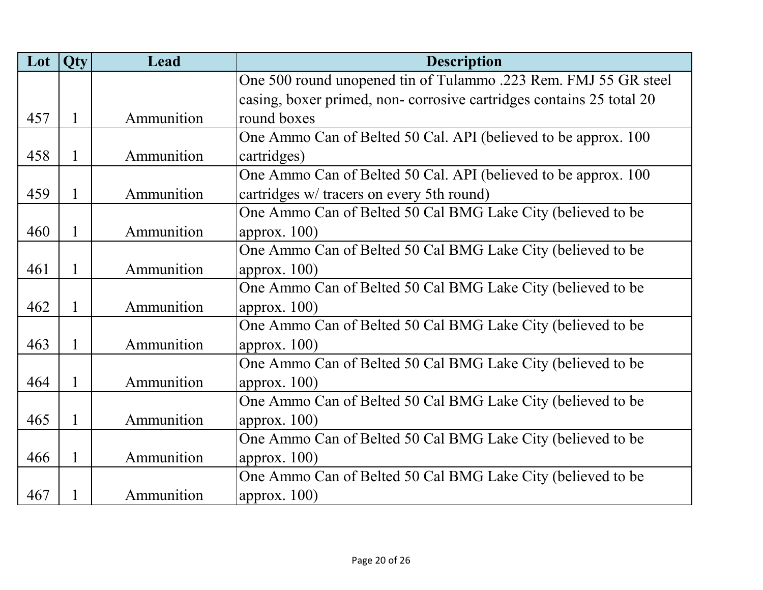| Lot | Qty          | Lead       | <b>Description</b>                                                  |
|-----|--------------|------------|---------------------------------------------------------------------|
|     |              |            | One 500 round unopened tin of Tulammo .223 Rem. FMJ 55 GR steel     |
|     |              |            | casing, boxer primed, non-corrosive cartridges contains 25 total 20 |
| 457 | $\mathbf{1}$ | Ammunition | round boxes                                                         |
|     |              |            | One Ammo Can of Belted 50 Cal. API (believed to be approx. 100      |
| 458 | 1            | Ammunition | cartridges)                                                         |
|     |              |            | One Ammo Can of Belted 50 Cal. API (believed to be approx. 100      |
| 459 | $\mathbf{1}$ | Ammunition | cartridges w/ tracers on every 5th round)                           |
|     |              |            | One Ammo Can of Belted 50 Cal BMG Lake City (believed to be         |
| 460 | $\mathbf{1}$ | Ammunition | approx. $100$ )                                                     |
|     |              |            | One Ammo Can of Belted 50 Cal BMG Lake City (believed to be         |
| 461 | 1            | Ammunition | approx. $100$ )                                                     |
|     |              |            | One Ammo Can of Belted 50 Cal BMG Lake City (believed to be         |
| 462 | $\mathbf{1}$ | Ammunition | approx. $100$ )                                                     |
|     |              |            | One Ammo Can of Belted 50 Cal BMG Lake City (believed to be         |
| 463 | 1            | Ammunition | approx. $100$ )                                                     |
|     |              |            | One Ammo Can of Belted 50 Cal BMG Lake City (believed to be         |
| 464 | $\mathbf{1}$ | Ammunition | approx. $100$ )                                                     |
|     |              |            | One Ammo Can of Belted 50 Cal BMG Lake City (believed to be         |
| 465 | $\mathbf{1}$ | Ammunition | approx. $100$ )                                                     |
|     |              |            | One Ammo Can of Belted 50 Cal BMG Lake City (believed to be         |
| 466 | $\mathbf{1}$ | Ammunition | approx. $100$ )                                                     |
|     |              |            | One Ammo Can of Belted 50 Cal BMG Lake City (believed to be         |
| 467 | $\mathbf{1}$ | Ammunition | approx. $100$ )                                                     |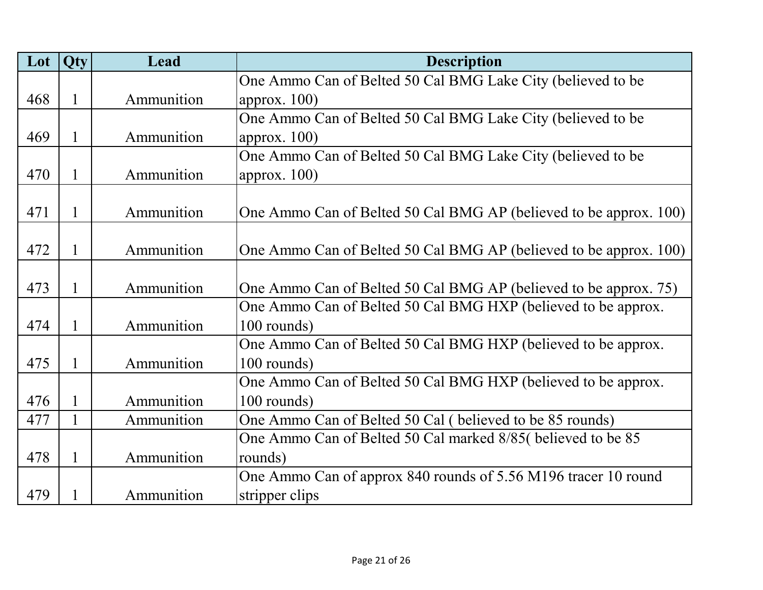| Lot | <b>Qty</b>   | Lead       | <b>Description</b>                                                |
|-----|--------------|------------|-------------------------------------------------------------------|
|     |              |            | One Ammo Can of Belted 50 Cal BMG Lake City (believed to be       |
| 468 | 1            | Ammunition | approx. $100$ )                                                   |
|     |              |            | One Ammo Can of Belted 50 Cal BMG Lake City (believed to be       |
| 469 | $\mathbf{1}$ | Ammunition | approx. $100$ )                                                   |
|     |              |            | One Ammo Can of Belted 50 Cal BMG Lake City (believed to be       |
| 470 | 1            | Ammunition | approx. $100$ )                                                   |
|     |              |            |                                                                   |
| 471 | $\mathbf{1}$ | Ammunition | One Ammo Can of Belted 50 Cal BMG AP (believed to be approx. 100) |
|     |              |            |                                                                   |
| 472 | $\mathbf{1}$ | Ammunition | One Ammo Can of Belted 50 Cal BMG AP (believed to be approx. 100) |
|     |              |            |                                                                   |
| 473 | $\mathbf{1}$ | Ammunition | One Ammo Can of Belted 50 Cal BMG AP (believed to be approx. 75)  |
|     |              |            | One Ammo Can of Belted 50 Cal BMG HXP (believed to be approx.     |
| 474 | $\mathbf{1}$ | Ammunition | 100 rounds)                                                       |
|     |              |            | One Ammo Can of Belted 50 Cal BMG HXP (believed to be approx.     |
| 475 | $\mathbf{1}$ | Ammunition | 100 rounds)                                                       |
|     |              |            | One Ammo Can of Belted 50 Cal BMG HXP (believed to be approx.     |
| 476 | 1            | Ammunition | 100 rounds)                                                       |
| 477 | $\mathbf{1}$ | Ammunition | One Ammo Can of Belted 50 Cal (believed to be 85 rounds)          |
|     |              |            | One Ammo Can of Belted 50 Cal marked 8/85( believed to be 85      |
| 478 | $\mathbf{1}$ | Ammunition | rounds)                                                           |
|     |              |            | One Ammo Can of approx 840 rounds of 5.56 M196 tracer 10 round    |
| 479 | $\mathbf{1}$ | Ammunition | stripper clips                                                    |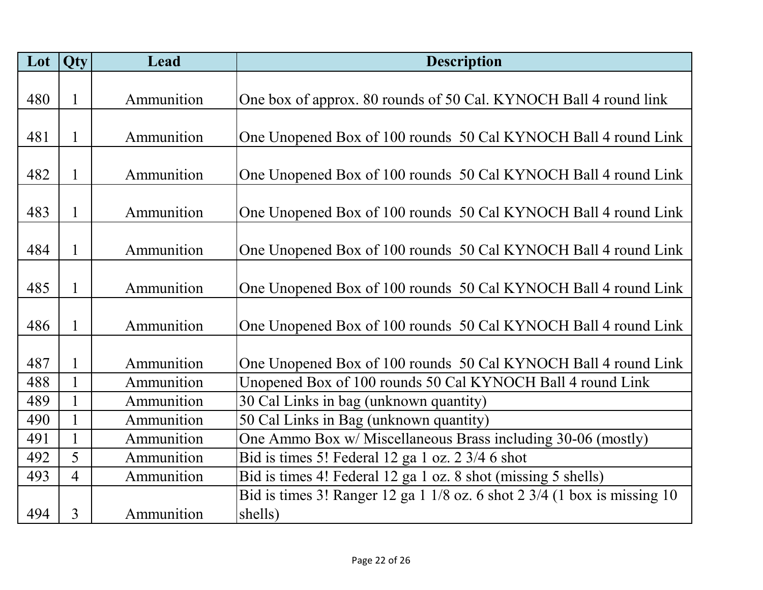| Lot | <b>Qty</b>     | Lead       | <b>Description</b>                                                       |
|-----|----------------|------------|--------------------------------------------------------------------------|
|     |                |            |                                                                          |
| 480 | $\mathbf{1}$   | Ammunition | One box of approx. 80 rounds of 50 Cal. KYNOCH Ball 4 round link         |
|     |                |            |                                                                          |
| 481 | $\mathbf{1}$   | Ammunition | One Unopened Box of 100 rounds 50 Cal KYNOCH Ball 4 round Link           |
|     |                |            |                                                                          |
| 482 | $\mathbf{1}$   | Ammunition | One Unopened Box of 100 rounds 50 Cal KYNOCH Ball 4 round Link           |
|     |                |            |                                                                          |
| 483 | $\mathbf{1}$   | Ammunition | One Unopened Box of 100 rounds 50 Cal KYNOCH Ball 4 round Link           |
|     |                |            |                                                                          |
| 484 | $\mathbf{1}$   | Ammunition | One Unopened Box of 100 rounds 50 Cal KYNOCH Ball 4 round Link           |
|     |                |            |                                                                          |
| 485 | $\mathbf{1}$   | Ammunition | One Unopened Box of 100 rounds 50 Cal KYNOCH Ball 4 round Link           |
|     |                |            |                                                                          |
| 486 | $\mathbf{1}$   | Ammunition | One Unopened Box of 100 rounds 50 Cal KYNOCH Ball 4 round Link           |
|     |                |            |                                                                          |
| 487 | $\mathbf{1}$   | Ammunition | One Unopened Box of 100 rounds 50 Cal KYNOCH Ball 4 round Link           |
| 488 | $\mathbf{1}$   | Ammunition | Unopened Box of 100 rounds 50 Cal KYNOCH Ball 4 round Link               |
| 489 | 1              | Ammunition | 30 Cal Links in bag (unknown quantity)                                   |
| 490 | $\mathbf{1}$   | Ammunition | 50 Cal Links in Bag (unknown quantity)                                   |
| 491 | $\mathbf{1}$   | Ammunition | One Ammo Box w/ Miscellaneous Brass including 30-06 (mostly)             |
| 492 | 5              | Ammunition | Bid is times 5! Federal 12 ga 1 oz. 2 3/4 6 shot                         |
| 493 | $\overline{4}$ | Ammunition | Bid is times 4! Federal 12 ga 1 oz. 8 shot (missing 5 shells)            |
|     |                |            | Bid is times 3! Ranger 12 ga 1 1/8 oz. 6 shot 2 3/4 (1 box is missing 10 |
| 494 | 3              | Ammunition | shells)                                                                  |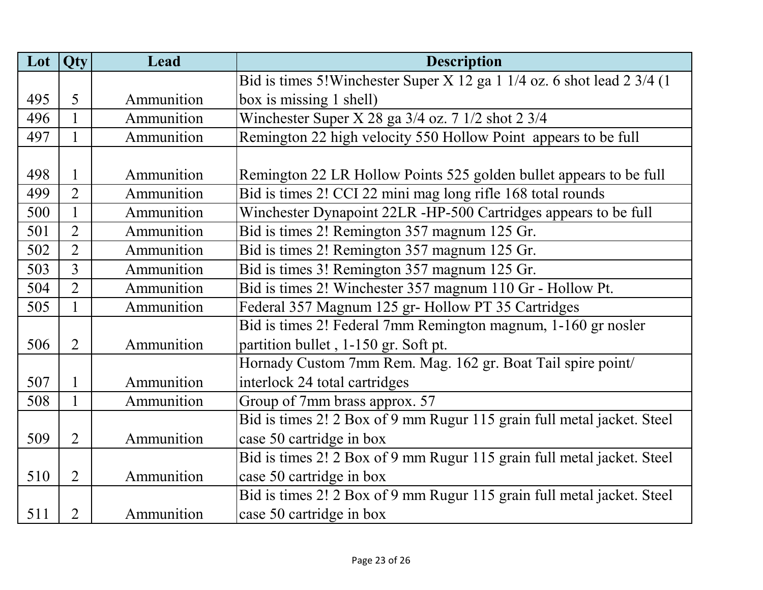| Lot | Qty            | Lead       | <b>Description</b>                                                       |
|-----|----------------|------------|--------------------------------------------------------------------------|
|     |                |            | Bid is times 5! Winchester Super X 12 ga 1 1/4 oz. 6 shot lead 2 3/4 (1) |
| 495 | 5              | Ammunition | box is missing 1 shell)                                                  |
| 496 | $\mathbf{1}$   | Ammunition | Winchester Super X 28 ga $3/4$ oz. 7 $1/2$ shot 2 $3/4$                  |
| 497 | $\mathbf{1}$   | Ammunition | Remington 22 high velocity 550 Hollow Point appears to be full           |
|     |                |            |                                                                          |
| 498 | $\mathbf{1}$   | Ammunition | Remington 22 LR Hollow Points 525 golden bullet appears to be full       |
| 499 | $\overline{2}$ | Ammunition | Bid is times 2! CCI 22 mini mag long rifle 168 total rounds              |
| 500 | 1              | Ammunition | Winchester Dynapoint 22LR -HP-500 Cartridges appears to be full          |
| 501 | $\overline{2}$ | Ammunition | Bid is times 2! Remington 357 magnum 125 Gr.                             |
| 502 | $\overline{2}$ | Ammunition | Bid is times 2! Remington 357 magnum 125 Gr.                             |
| 503 | 3              | Ammunition | Bid is times 3! Remington 357 magnum 125 Gr.                             |
| 504 | $\overline{2}$ | Ammunition | Bid is times 2! Winchester 357 magnum 110 Gr - Hollow Pt.                |
| 505 | $\mathbf{1}$   | Ammunition | Federal 357 Magnum 125 gr- Hollow PT 35 Cartridges                       |
|     |                |            | Bid is times 2! Federal 7mm Remington magnum, 1-160 gr nosler            |
| 506 | $\overline{2}$ | Ammunition | partition bullet, 1-150 gr. Soft pt.                                     |
|     |                |            | Hornady Custom 7mm Rem. Mag. 162 gr. Boat Tail spire point/              |
| 507 | $\mathbf{1}$   | Ammunition | interlock 24 total cartridges                                            |
| 508 | $\mathbf{1}$   | Ammunition | Group of 7mm brass approx. 57                                            |
|     |                |            | Bid is times 2! 2 Box of 9 mm Rugur 115 grain full metal jacket. Steel   |
| 509 | $\overline{2}$ | Ammunition | case 50 cartridge in box                                                 |
|     |                |            | Bid is times 2! 2 Box of 9 mm Rugur 115 grain full metal jacket. Steel   |
| 510 | $\overline{2}$ | Ammunition | case 50 cartridge in box                                                 |
|     |                |            | Bid is times 2! 2 Box of 9 mm Rugur 115 grain full metal jacket. Steel   |
| 511 | $\overline{2}$ | Ammunition | case 50 cartridge in box                                                 |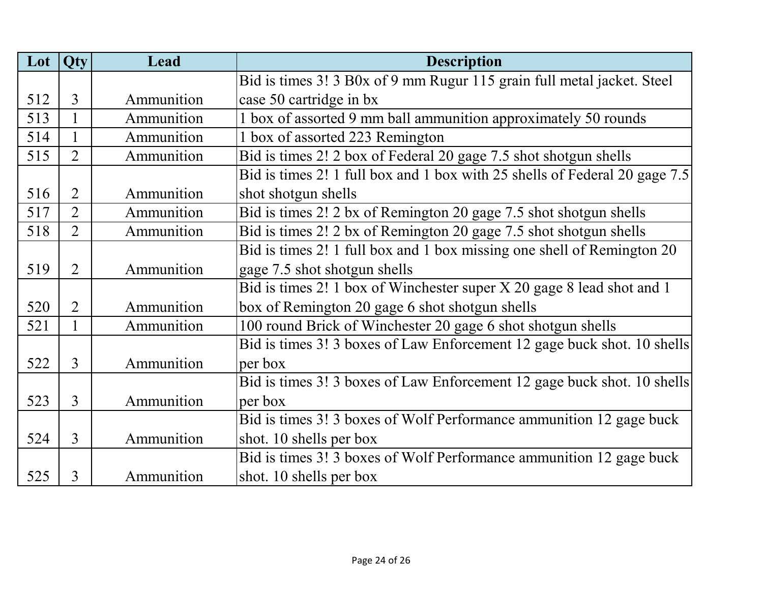| Lot | Qty            | Lead       | <b>Description</b>                                                         |
|-----|----------------|------------|----------------------------------------------------------------------------|
|     |                |            | Bid is times 3! 3 B0x of 9 mm Rugur 115 grain full metal jacket. Steel     |
| 512 | 3              | Ammunition | case 50 cartridge in bx                                                    |
| 513 | 1              | Ammunition | 1 box of assorted 9 mm ball ammunition approximately 50 rounds             |
| 514 | $\mathbf{1}$   | Ammunition | 1 box of assorted 223 Remington                                            |
| 515 | $\overline{2}$ | Ammunition | Bid is times 2! 2 box of Federal 20 gage 7.5 shot shotgun shells           |
|     |                |            | Bid is times 2! 1 full box and 1 box with 25 shells of Federal 20 gage 7.5 |
| 516 | $\overline{2}$ | Ammunition | shot shotgun shells                                                        |
| 517 | $\overline{2}$ | Ammunition | Bid is times 2! 2 bx of Remington 20 gage 7.5 shot shotgun shells          |
| 518 | $\overline{2}$ | Ammunition | Bid is times 2! 2 bx of Remington 20 gage 7.5 shot shotgun shells          |
|     |                |            | Bid is times 2! 1 full box and 1 box missing one shell of Remington 20     |
| 519 | $\overline{2}$ | Ammunition | gage 7.5 shot shotgun shells                                               |
|     |                |            | Bid is times 2! 1 box of Winchester super X 20 gage 8 lead shot and 1      |
| 520 | $\overline{2}$ | Ammunition | box of Remington 20 gage 6 shot shotgun shells                             |
| 521 | $\mathbf{1}$   | Ammunition | 100 round Brick of Winchester 20 gage 6 shot shotgun shells                |
|     |                |            | Bid is times 3! 3 boxes of Law Enforcement 12 gage buck shot. 10 shells    |
| 522 | 3              | Ammunition | per box                                                                    |
|     |                |            | Bid is times 3! 3 boxes of Law Enforcement 12 gage buck shot. 10 shells    |
| 523 | $\overline{3}$ | Ammunition | per box                                                                    |
|     |                |            | Bid is times 3! 3 boxes of Wolf Performance ammunition 12 gage buck        |
| 524 | $\overline{3}$ | Ammunition | shot. 10 shells per box                                                    |
|     |                |            | Bid is times 3! 3 boxes of Wolf Performance ammunition 12 gage buck        |
| 525 | 3              | Ammunition | shot. 10 shells per box                                                    |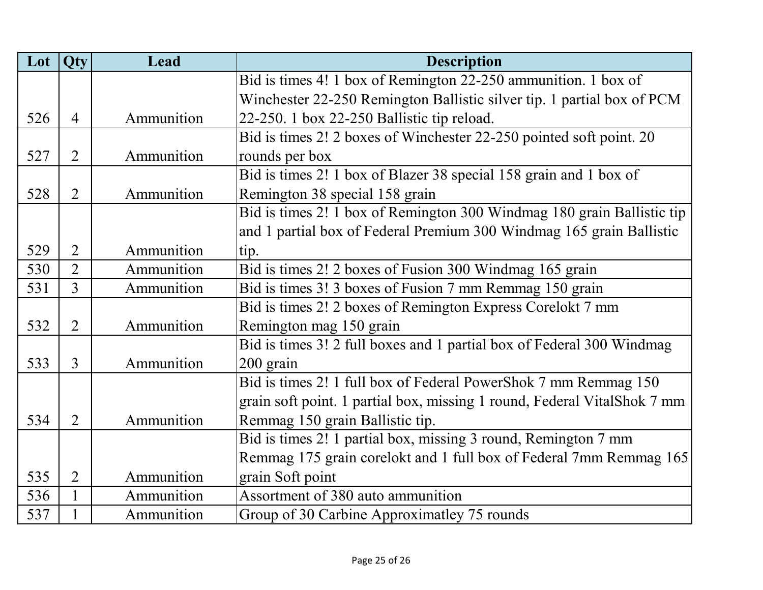| Lot | Qty            | Lead       | <b>Description</b>                                                       |
|-----|----------------|------------|--------------------------------------------------------------------------|
|     |                |            | Bid is times 4! 1 box of Remington 22-250 ammunition. 1 box of           |
|     |                |            | Winchester 22-250 Remington Ballistic silver tip. 1 partial box of PCM   |
| 526 | $\overline{4}$ | Ammunition | 22-250. 1 box 22-250 Ballistic tip reload.                               |
|     |                |            | Bid is times 2! 2 boxes of Winchester 22-250 pointed soft point. 20      |
| 527 | $\overline{2}$ | Ammunition | rounds per box                                                           |
|     |                |            | Bid is times 2! 1 box of Blazer 38 special 158 grain and 1 box of        |
| 528 | $\overline{2}$ | Ammunition | Remington 38 special 158 grain                                           |
|     |                |            | Bid is times 2! 1 box of Remington 300 Windmag 180 grain Ballistic tip   |
|     |                |            | and 1 partial box of Federal Premium 300 Windmag 165 grain Ballistic     |
| 529 | $\overline{2}$ | Ammunition | tip.                                                                     |
| 530 | $\overline{2}$ | Ammunition | Bid is times 2! 2 boxes of Fusion 300 Windmag 165 grain                  |
| 531 | 3              | Ammunition | Bid is times 3! 3 boxes of Fusion 7 mm Remmag 150 grain                  |
|     |                |            | Bid is times 2! 2 boxes of Remington Express Corelokt 7 mm               |
| 532 | $\overline{2}$ | Ammunition | Remington mag 150 grain                                                  |
|     |                |            | Bid is times 3! 2 full boxes and 1 partial box of Federal 300 Windmag    |
| 533 | 3              | Ammunition | 200 grain                                                                |
|     |                |            | Bid is times 2! 1 full box of Federal PowerShok 7 mm Remmag 150          |
|     |                |            | grain soft point. 1 partial box, missing 1 round, Federal VitalShok 7 mm |
| 534 | $\overline{2}$ | Ammunition | Remmag 150 grain Ballistic tip.                                          |
|     |                |            | Bid is times 2! 1 partial box, missing 3 round, Remington 7 mm           |
|     |                |            | Remmag 175 grain corelokt and 1 full box of Federal 7mm Remmag 165       |
| 535 | $\overline{2}$ | Ammunition | grain Soft point                                                         |
| 536 | $\mathbf{1}$   | Ammunition | Assortment of 380 auto ammunition                                        |
| 537 | $\mathbf{1}$   | Ammunition | Group of 30 Carbine Approximatley 75 rounds                              |